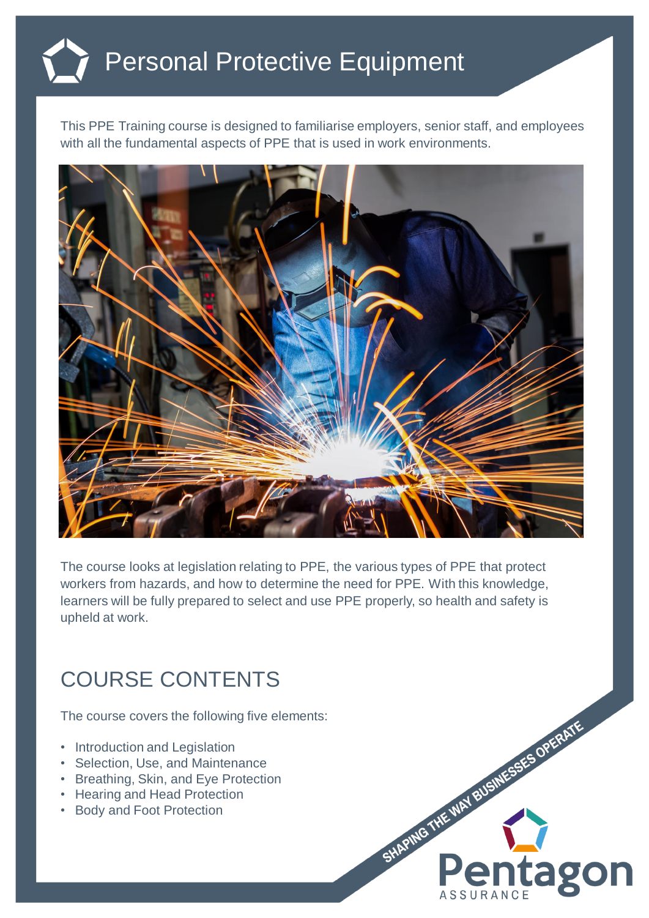## Personal Protective Equipment

This PPE Training course is designed to familiarise employers, senior staff, and employees with all the fundamental aspects of PPE that is used in work environments.



The course looks at legislation relating to PPE, the various types of PPE that protect workers from hazards, and how to determine the need for PPE. With this knowledge, learners will be fully prepared to select and use PPE properly, so health and safety is upheld at work.

## COURSE CONTENTS

The course covers the following five elements:

- Introduction and Legislation
- Selection, Use, and Maintenance
- Breathing, Skin, and Eye Protection
- Hearing and Head Protection
- Body and Foot Protection